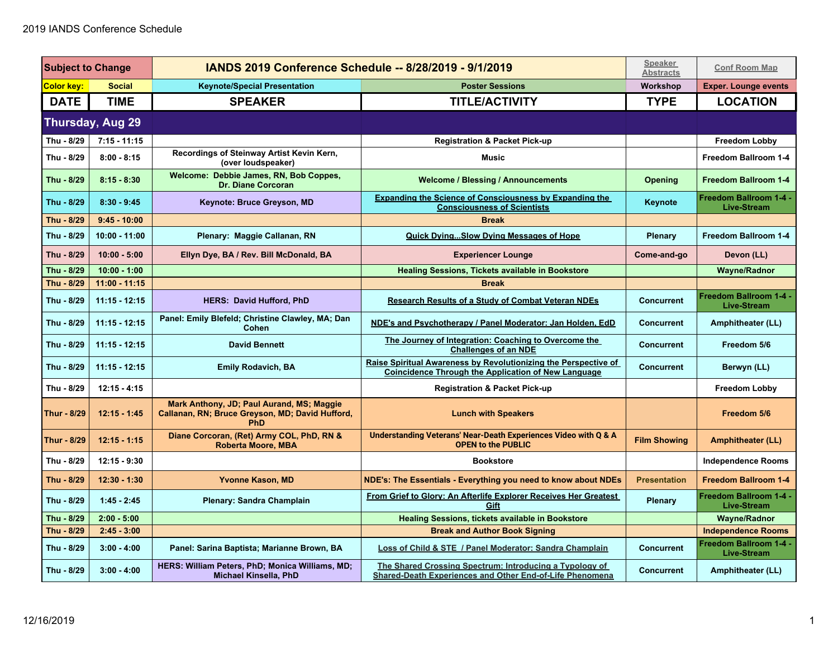| <b>Subject to Change</b> |                  | IANDS 2019 Conference Schedule -- 8/28/2019 - 9/1/2019                                              |                                                                                                                               | <b>Speaker</b><br><b>Abstracts</b> | <b>Conf Room Map</b>                                |
|--------------------------|------------------|-----------------------------------------------------------------------------------------------------|-------------------------------------------------------------------------------------------------------------------------------|------------------------------------|-----------------------------------------------------|
| Color key:               | <b>Social</b>    | <b>Keynote/Special Presentation</b>                                                                 | <b>Poster Sessions</b>                                                                                                        | Workshop                           | <b>Exper. Lounge events</b>                         |
| <b>DATE</b>              | <b>TIME</b>      | <b>SPEAKER</b>                                                                                      | <b>TITLE/ACTIVITY</b>                                                                                                         | <b>TYPE</b>                        | <b>LOCATION</b>                                     |
|                          | Thursday, Aug 29 |                                                                                                     |                                                                                                                               |                                    |                                                     |
| Thu - 8/29               | $7:15 - 11:15$   |                                                                                                     | <b>Registration &amp; Packet Pick-up</b>                                                                                      |                                    | <b>Freedom Lobby</b>                                |
| Thu - 8/29               | $8:00 - 8:15$    | Recordings of Steinway Artist Kevin Kern,<br>(over loudspeaker)                                     | <b>Music</b>                                                                                                                  |                                    | Freedom Ballroom 1-4                                |
| Thu - 8/29               | $8:15 - 8:30$    | Welcome: Debbie James, RN, Bob Coppes,<br><b>Dr. Diane Corcoran</b>                                 | <b>Welcome / Blessing / Announcements</b>                                                                                     | <b>Opening</b>                     | Freedom Ballroom 1-4                                |
| Thu - 8/29               | $8:30 - 9:45$    | Keynote: Bruce Greyson, MD                                                                          | <b>Expanding the Science of Consciousness by Expanding the</b><br><b>Consciousness of Scientists</b>                          | Keynote                            | Freedom Ballroom 1-4 -<br><b>Live-Stream</b>        |
| Thu - 8/29               | $9:45 - 10:00$   |                                                                                                     | <b>Break</b>                                                                                                                  |                                    |                                                     |
| Thu - 8/29               | 10:00 - 11:00    | Plenary: Maggie Callanan, RN                                                                        | <b>Quick DyingSlow Dying Messages of Hope</b>                                                                                 | Plenary                            | Freedom Ballroom 1-4                                |
| Thu - 8/29               | $10:00 - 5:00$   | Ellyn Dye, BA / Rev. Bill McDonald, BA                                                              | <b>Experiencer Lounge</b>                                                                                                     | Come-and-go                        | Devon (LL)                                          |
| Thu - 8/29               | $10:00 - 1:00$   |                                                                                                     | <b>Healing Sessions, Tickets available in Bookstore</b>                                                                       |                                    | <b>Wayne/Radnor</b>                                 |
| Thu - 8/29               | $11:00 - 11:15$  |                                                                                                     | <b>Break</b>                                                                                                                  |                                    |                                                     |
| Thu - 8/29               | $11:15 - 12:15$  | <b>HERS: David Hufford, PhD</b>                                                                     | <b>Research Results of a Study of Combat Veteran NDEs</b>                                                                     | <b>Concurrent</b>                  | <b>Freedom Ballroom 1-4 -</b><br><b>Live-Stream</b> |
| Thu - 8/29               | $11:15 - 12:15$  | Panel: Emily Blefeld; Christine Clawley, MA; Dan<br>Cohen                                           | NDE's and Psychotherapy / Panel Moderator: Jan Holden, EdD                                                                    | <b>Concurrent</b>                  | Amphitheater (LL)                                   |
| Thu - 8/29               | $11:15 - 12:15$  | <b>David Bennett</b>                                                                                | The Journey of Integration: Coaching to Overcome the<br><b>Challenges of an NDE</b>                                           | <b>Concurrent</b>                  | Freedom 5/6                                         |
| Thu - 8/29               | $11:15 - 12:15$  | <b>Emily Rodavich, BA</b>                                                                           | Raise Spiritual Awareness by Revolutionizing the Perspective of<br><b>Coincidence Through the Application of New Language</b> | <b>Concurrent</b>                  | Berwyn (LL)                                         |
| Thu - 8/29               | $12:15 - 4:15$   |                                                                                                     | <b>Registration &amp; Packet Pick-up</b>                                                                                      |                                    | <b>Freedom Lobby</b>                                |
| Thur - 8/29              | $12:15 - 1:45$   | Mark Anthony, JD; Paul Aurand, MS; Maggie<br>Callanan, RN; Bruce Greyson, MD; David Hufford,<br>PhD | <b>Lunch with Speakers</b>                                                                                                    |                                    | Freedom 5/6                                         |
| Thur - 8/29              | $12:15 - 1:15$   | Diane Corcoran, (Ret) Army COL, PhD, RN &<br><b>Roberta Moore, MBA</b>                              | Understanding Veterans' Near-Death Experiences Video with Q & A<br><b>OPEN to the PUBLIC</b>                                  | <b>Film Showing</b>                | <b>Amphitheater (LL)</b>                            |
| Thu - 8/29               | $12:15 - 9:30$   |                                                                                                     | <b>Bookstore</b>                                                                                                              |                                    | <b>Independence Rooms</b>                           |
| Thu - 8/29               | 12:30 - 1:30     | <b>Yvonne Kason, MD</b>                                                                             | NDE's: The Essentials - Everything you need to know about NDEs                                                                | <b>Presentation</b>                | <b>Freedom Ballroom 1-4</b>                         |
| Thu - 8/29               | $1:45 - 2:45$    | <b>Plenary: Sandra Champlain</b>                                                                    | From Grief to Glory: An Afterlife Explorer Receives Her Greatest<br>Gift                                                      | Plenary                            | Freedom Ballroom 1-4 -<br><b>Live-Stream</b>        |
| Thu - 8/29               | $2:00 - 5:00$    |                                                                                                     | <b>Healing Sessions, tickets available in Bookstore</b>                                                                       |                                    | <b>Wayne/Radnor</b>                                 |
| Thu - 8/29               | $2:45 - 3:00$    |                                                                                                     | <b>Break and Author Book Signing</b>                                                                                          |                                    | <b>Independence Rooms</b>                           |
| Thu - 8/29               | $3:00 - 4:00$    | Panel: Sarina Baptista; Marianne Brown, BA                                                          | Loss of Child & STE / Panel Moderator: Sandra Champlain                                                                       | <b>Concurrent</b>                  | Freedom Ballroom 1-4 -<br><b>Live-Stream</b>        |
| Thu - 8/29               | $3:00 - 4:00$    | HERS: William Peters, PhD; Monica Williams, MD;<br><b>Michael Kinsella, PhD</b>                     | The Shared Crossing Spectrum: Introducing a Typology of<br>Shared-Death Experiences and Other End-of-Life Phenomena           | <b>Concurrent</b>                  | Amphitheater (LL)                                   |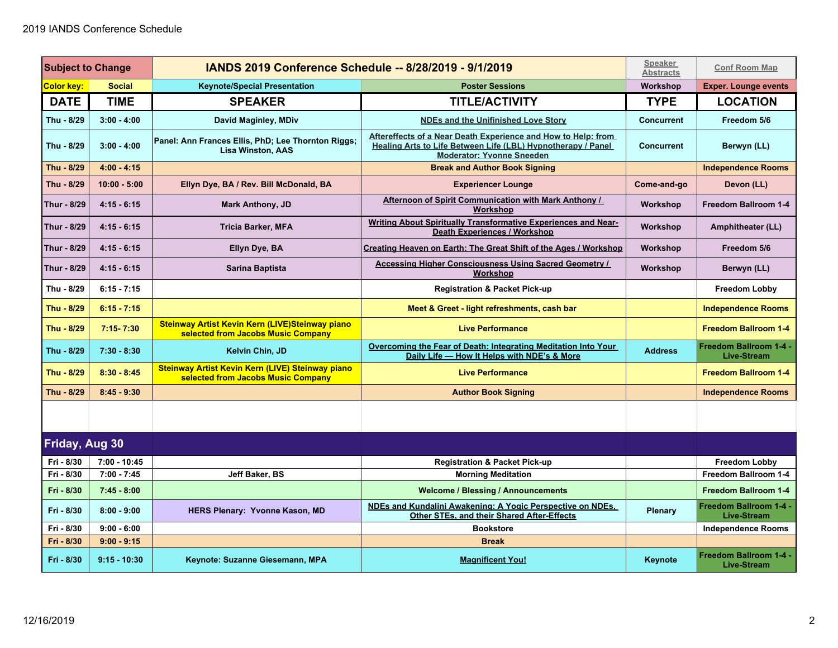| <b>Subject to Change</b> |                | <b>IANDS 2019 Conference Schedule -- 8/28/2019 - 9/1/2019</b>                          |                                                                                                                                                                   | <b>Speaker</b><br><b>Abstracts</b> | <b>Conf Room Map</b>                                |
|--------------------------|----------------|----------------------------------------------------------------------------------------|-------------------------------------------------------------------------------------------------------------------------------------------------------------------|------------------------------------|-----------------------------------------------------|
| <b>Color key:</b>        | <b>Social</b>  | <b>Keynote/Special Presentation</b>                                                    | <b>Poster Sessions</b>                                                                                                                                            | Workshop                           | <b>Exper. Lounge events</b>                         |
| <b>DATE</b>              | <b>TIME</b>    | <b>SPEAKER</b>                                                                         | <b>TITLE/ACTIVITY</b>                                                                                                                                             | <b>TYPE</b>                        | <b>LOCATION</b>                                     |
| Thu - 8/29               | $3:00 - 4:00$  | David Maginley, MDiv                                                                   | <b>NDEs and the Unifinished Love Story</b>                                                                                                                        | <b>Concurrent</b>                  | Freedom 5/6                                         |
| Thu - 8/29               | $3:00 - 4:00$  | Panel: Ann Frances Ellis, PhD; Lee Thornton Riggs;<br><b>Lisa Winston, AAS</b>         | Aftereffects of a Near Death Experience and How to Help: from<br>Healing Arts to Life Between Life (LBL) Hypnotherapy / Panel<br><b>Moderator: Yvonne Sneeden</b> | <b>Concurrent</b>                  | Berwyn (LL)                                         |
| Thu - 8/29               | $4:00 - 4:15$  |                                                                                        | <b>Break and Author Book Signing</b>                                                                                                                              |                                    | <b>Independence Rooms</b>                           |
| Thu - 8/29               | $10:00 - 5:00$ | Ellyn Dye, BA / Rev. Bill McDonald, BA                                                 | <b>Experiencer Lounge</b>                                                                                                                                         | Come-and-go                        | Devon (LL)                                          |
| Thur - 8/29              | $4:15 - 6:15$  | <b>Mark Anthony, JD</b>                                                                | Afternoon of Spirit Communication with Mark Anthony /<br>Workshop                                                                                                 | Workshop                           | Freedom Ballroom 1-4                                |
| Thur - 8/29              | $4:15 - 6:15$  | <b>Tricia Barker, MFA</b>                                                              | Writing About Spiritually Transformative Experiences and Near-<br><b>Death Experiences / Workshop</b>                                                             | Workshop                           | <b>Amphitheater (LL)</b>                            |
| Thur - 8/29              | $4:15 - 6:15$  | Ellyn Dye, BA                                                                          | Creating Heaven on Earth: The Great Shift of the Ages / Workshop                                                                                                  | Workshop                           | Freedom 5/6                                         |
| Thur - 8/29              | $4:15 - 6:15$  | Sarina Baptista                                                                        | Accessing Higher Consciousness Using Sacred Geometry /<br><b>Workshop</b>                                                                                         | Workshop                           | Berwyn (LL)                                         |
| Thu - 8/29               | $6:15 - 7:15$  |                                                                                        | <b>Registration &amp; Packet Pick-up</b>                                                                                                                          |                                    | <b>Freedom Lobby</b>                                |
| Thu - 8/29               | $6:15 - 7:15$  |                                                                                        | Meet & Greet - light refreshments, cash bar                                                                                                                       |                                    | <b>Independence Rooms</b>                           |
| Thu - 8/29               | $7:15 - 7:30$  | Steinway Artist Kevin Kern (LIVE)Steinway piano<br>selected from Jacobs Music Company  | <b>Live Performance</b>                                                                                                                                           |                                    | <b>Freedom Ballroom 1-4</b>                         |
| Thu - 8/29               | $7:30 - 8:30$  | Kelvin Chin, JD                                                                        | Overcoming the Fear of Death: Integrating Meditation Into Your<br>Daily Life - How It Helps with NDE's & More                                                     | <b>Address</b>                     | Freedom Ballroom 1-4 -<br><b>Live-Stream</b>        |
| Thu - 8/29               | $8:30 - 8:45$  | Steinway Artist Kevin Kern (LIVE) Steinway piano<br>selected from Jacobs Music Company | <b>Live Performance</b>                                                                                                                                           |                                    | <b>Freedom Ballroom 1-4</b>                         |
| Thu - 8/29               | $8:45 - 9:30$  |                                                                                        | <b>Author Book Signing</b>                                                                                                                                        |                                    | <b>Independence Rooms</b>                           |
|                          |                |                                                                                        |                                                                                                                                                                   |                                    |                                                     |
| <b>Friday, Aug 30</b>    |                |                                                                                        |                                                                                                                                                                   |                                    |                                                     |
| Fri - 8/30               | $7:00 - 10:45$ |                                                                                        | <b>Registration &amp; Packet Pick-up</b>                                                                                                                          |                                    | <b>Freedom Lobby</b>                                |
| Fri - 8/30               | $7:00 - 7:45$  | Jeff Baker, BS                                                                         | <b>Morning Meditation</b>                                                                                                                                         |                                    | Freedom Ballroom 1-4                                |
| Fri - 8/30               | $7:45 - 8:00$  |                                                                                        | <b>Welcome / Blessing / Announcements</b>                                                                                                                         |                                    | Freedom Ballroom 1-4                                |
| Fri - 8/30               | $8:00 - 9:00$  | HERS Plenary: Yvonne Kason, MD                                                         | NDEs and Kundalini Awakening: A Yogic Perspective on NDEs.<br>Other STEs, and their Shared After-Effects                                                          | Plenary                            | <b>Freedom Ballroom 1-4 -</b><br><b>Live-Stream</b> |
| Fri - 8/30               | $9:00 - 6:00$  |                                                                                        | <b>Bookstore</b>                                                                                                                                                  |                                    | <b>Independence Rooms</b>                           |
| Fri - 8/30               | $9:00 - 9:15$  |                                                                                        | <b>Break</b>                                                                                                                                                      |                                    |                                                     |
| Fri - 8/30               | $9:15 - 10:30$ | Keynote: Suzanne Giesemann, MPA                                                        | <b>Magnificent You!</b>                                                                                                                                           | Keynote                            | <b>Freedom Ballroom 1-4 -</b><br><b>Live-Stream</b> |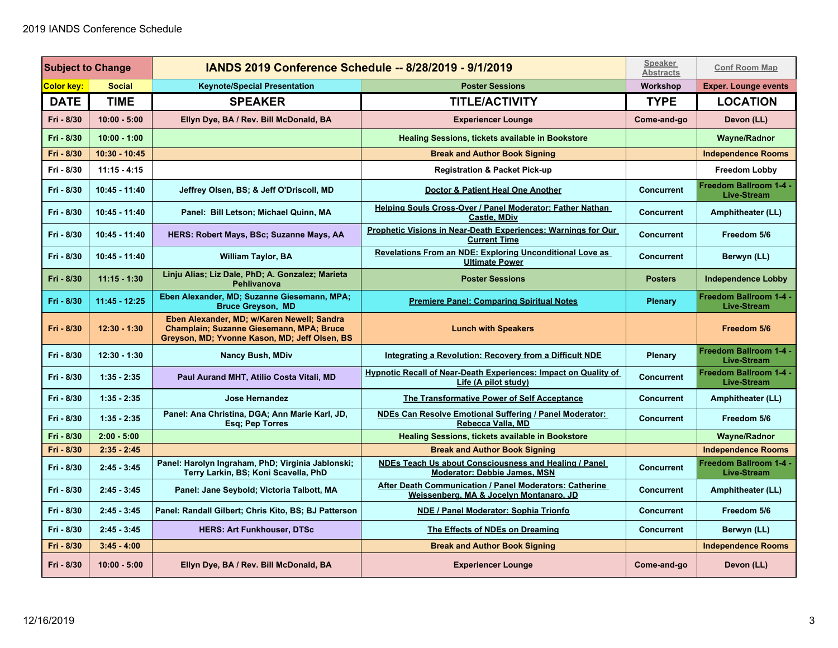| <b>Subject to Change</b> |                 | <b>IANDS 2019 Conference Schedule -- 8/28/2019 - 9/1/2019</b>                                                                           |                                                                                                    | <b>Speaker</b><br><b>Abstracts</b> | <b>Conf Room Map</b>                                |
|--------------------------|-----------------|-----------------------------------------------------------------------------------------------------------------------------------------|----------------------------------------------------------------------------------------------------|------------------------------------|-----------------------------------------------------|
| Color key:               | <b>Social</b>   | <b>Keynote/Special Presentation</b>                                                                                                     | <b>Poster Sessions</b>                                                                             | Workshop                           | <b>Exper. Lounge events</b>                         |
| <b>DATE</b>              | <b>TIME</b>     | <b>SPEAKER</b>                                                                                                                          | <b>TITLE/ACTIVITY</b>                                                                              | <b>TYPE</b>                        | <b>LOCATION</b>                                     |
| Fri - 8/30               | $10:00 - 5:00$  | Ellyn Dye, BA / Rev. Bill McDonald, BA                                                                                                  | <b>Experiencer Lounge</b>                                                                          | Come-and-go                        | Devon (LL)                                          |
| Fri - 8/30               | $10:00 - 1:00$  |                                                                                                                                         | <b>Healing Sessions, tickets available in Bookstore</b>                                            |                                    | <b>Wayne/Radnor</b>                                 |
| Fri - 8/30               | 10:30 - 10:45   |                                                                                                                                         | <b>Break and Author Book Signing</b>                                                               |                                    | <b>Independence Rooms</b>                           |
| Fri - 8/30               | $11:15 - 4:15$  |                                                                                                                                         | <b>Registration &amp; Packet Pick-up</b>                                                           |                                    | <b>Freedom Lobby</b>                                |
| Fri - 8/30               | 10:45 - 11:40   | Jeffrey Olsen, BS; & Jeff O'Driscoll, MD                                                                                                | Doctor & Patient Heal One Another                                                                  | <b>Concurrent</b>                  | <b>Freedom Ballroom 1-4 -</b><br><b>Live-Stream</b> |
| Fri - 8/30               | 10:45 - 11:40   | Panel: Bill Letson; Michael Quinn, MA                                                                                                   | Helping Souls Cross-Over / Panel Moderator: Father Nathan<br><b>Castle, MDiv</b>                   | <b>Concurrent</b>                  | Amphitheater (LL)                                   |
| Fri - 8/30               | 10:45 - 11:40   | HERS: Robert Mays, BSc; Suzanne Mays, AA                                                                                                | Prophetic Visions in Near-Death Experiences: Warnings for Our<br><b>Current Time</b>               | <b>Concurrent</b>                  | Freedom 5/6                                         |
| Fri - 8/30               | 10:45 - 11:40   | <b>William Taylor, BA</b>                                                                                                               | Revelations From an NDE: Exploring Unconditional Love as<br><b>Ultimate Power</b>                  | <b>Concurrent</b>                  | Berwyn (LL)                                         |
| Fri - 8/30               | $11:15 - 1:30$  | Linju Alias; Liz Dale, PhD; A. Gonzalez; Marieta<br><b>Pehlivanova</b>                                                                  | <b>Poster Sessions</b>                                                                             | <b>Posters</b>                     | <b>Independence Lobby</b>                           |
| Fri - 8/30               | $11:45 - 12:25$ | Eben Alexander, MD; Suzanne Giesemann, MPA;<br><b>Bruce Greyson, MD</b>                                                                 | <b>Premiere Panel: Comparing Spiritual Notes</b>                                                   | <b>Plenary</b>                     | <b>Freedom Ballroom 1-4 -</b><br><b>Live-Stream</b> |
| Fri - 8/30               | $12:30 - 1:30$  | Eben Alexander, MD; w/Karen Newell; Sandra<br>Champlain; Suzanne Giesemann, MPA; Bruce<br>Greyson, MD; Yvonne Kason, MD; Jeff Olsen, BS | <b>Lunch with Speakers</b>                                                                         |                                    | Freedom 5/6                                         |
| Fri - 8/30               | 12:30 - 1:30    | <b>Nancy Bush, MDiv</b>                                                                                                                 | <b>Integrating a Revolution: Recovery from a Difficult NDE</b>                                     | Plenary                            | Freedom Ballroom 1-4 -<br><b>Live-Stream</b>        |
| Fri - 8/30               | $1:35 - 2:35$   | Paul Aurand MHT, Atilio Costa Vitali, MD                                                                                                | <b>Hypnotic Recall of Near-Death Experiences: Impact on Quality of</b><br>Life (A pilot study)     | <b>Concurrent</b>                  | Freedom Ballroom 1-4 -<br><b>Live-Stream</b>        |
| Fri - 8/30               | $1:35 - 2:35$   | Jose Hernandez                                                                                                                          | <b>The Transformative Power of Self Acceptance</b>                                                 | <b>Concurrent</b>                  | Amphitheater (LL)                                   |
| Fri - 8/30               | $1:35 - 2:35$   | Panel: Ana Christina, DGA; Ann Marie Karl, JD,<br>Esq; Pep Torres                                                                       | NDEs Can Resolve Emotional Suffering / Panel Moderator:<br>Rebecca Valla, MD                       | <b>Concurrent</b>                  | Freedom 5/6                                         |
| Fri - 8/30               | $2:00 - 5:00$   |                                                                                                                                         | Healing Sessions, tickets available in Bookstore                                                   |                                    | <b>Wayne/Radnor</b>                                 |
| Fri - 8/30               | $2:35 - 2:45$   |                                                                                                                                         | <b>Break and Author Book Signing</b>                                                               |                                    | <b>Independence Rooms</b>                           |
| Fri - 8/30               | $2:45 - 3:45$   | Panel: Harolyn Ingraham, PhD; Virginia Jablonski;<br>Terry Larkin, BS; Koni Scavella, PhD                                               | NDEs Teach Us about Consciousness and Healing / Panel<br><b>Moderator: Debbie James, MSN</b>       | <b>Concurrent</b>                  | <b>Freedom Ballroom 1-4 -</b><br><b>Live-Stream</b> |
| Fri - 8/30               | $2:45 - 3:45$   | Panel: Jane Seybold; Victoria Talbott, MA                                                                                               | After Death Communication / Panel Moderators: Catherine<br>Weissenberg, MA & Jocelyn Montanaro, JD | <b>Concurrent</b>                  | Amphitheater (LL)                                   |
| Fri - 8/30               | $2:45 - 3:45$   | Panel: Randall Gilbert; Chris Kito, BS; BJ Patterson                                                                                    | NDE / Panel Moderator: Sophia Trionfo                                                              | <b>Concurrent</b>                  | Freedom 5/6                                         |
| Fri - 8/30               | $2:45 - 3:45$   | <b>HERS: Art Funkhouser, DTSc</b>                                                                                                       | The Effects of NDEs on Dreaming                                                                    | <b>Concurrent</b>                  | Berwyn (LL)                                         |
| Fri - 8/30               | $3:45 - 4:00$   |                                                                                                                                         | <b>Break and Author Book Signing</b>                                                               |                                    | <b>Independence Rooms</b>                           |
| Fri - 8/30               | $10:00 - 5:00$  | Ellyn Dye, BA / Rev. Bill McDonald, BA                                                                                                  | <b>Experiencer Lounge</b>                                                                          | Come-and-go                        | Devon (LL)                                          |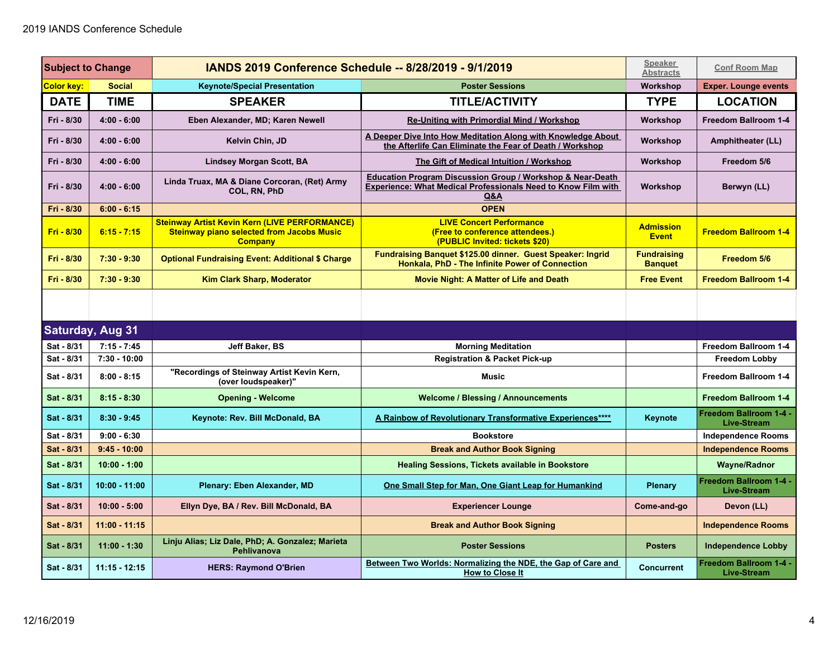| <b>Subject to Change</b> |                         | <b>IANDS 2019 Conference Schedule -- 8/28/2019 - 9/1/2019</b>                                                              |                                                                                                                                                      | <b>Speaker</b><br><b>Abstracts</b>   | <b>Conf Room Map</b>                         |
|--------------------------|-------------------------|----------------------------------------------------------------------------------------------------------------------------|------------------------------------------------------------------------------------------------------------------------------------------------------|--------------------------------------|----------------------------------------------|
| <b>Color key:</b>        | <b>Social</b>           | <b>Keynote/Special Presentation</b>                                                                                        | <b>Poster Sessions</b>                                                                                                                               | Workshop                             | <b>Exper. Lounge events</b>                  |
| <b>DATE</b>              | <b>TIME</b>             | <b>SPEAKER</b>                                                                                                             | <b>TITLE/ACTIVITY</b>                                                                                                                                | <b>TYPE</b>                          | <b>LOCATION</b>                              |
| Fri - 8/30               | $4:00 - 6:00$           | Eben Alexander, MD; Karen Newell                                                                                           | <b>Re-Uniting with Primordial Mind / Workshop</b>                                                                                                    | Workshop                             | Freedom Ballroom 1-4                         |
| Fri - 8/30               | $4:00 - 6:00$           | Kelvin Chin, JD                                                                                                            | A Deeper Dive Into How Meditation Along with Knowledge About<br>the Afterlife Can Eliminate the Fear of Death / Workshop                             | Workshop                             | Amphitheater (LL)                            |
| Fri - 8/30               | $4:00 - 6:00$           | <b>Lindsey Morgan Scott, BA</b>                                                                                            | The Gift of Medical Intuition / Workshop                                                                                                             | Workshop                             | Freedom 5/6                                  |
| Fri - 8/30               | $4:00 - 6:00$           | Linda Truax, MA & Diane Corcoran, (Ret) Army<br>COL, RN, PhD                                                               | <b>Education Program Discussion Group / Workshop &amp; Near-Death</b><br><b>Experience: What Medical Professionals Need to Know Film with</b><br>Q&A | Workshop                             | Berwyn (LL)                                  |
| Fri - 8/30               | $6:00 - 6:15$           |                                                                                                                            | <b>OPEN</b>                                                                                                                                          |                                      |                                              |
| Fri - 8/30               | $6:15 - 7:15$           | <b>Steinway Artist Kevin Kern (LIVE PERFORMANCE)</b><br><b>Steinway piano selected from Jacobs Music</b><br><b>Company</b> | <b>LIVE Concert Performance</b><br>(Free to conference attendees.)<br>(PUBLIC Invited: tickets \$20)                                                 | <b>Admission</b><br><b>Event</b>     | <b>Freedom Ballroom 1-4</b>                  |
| Fri - 8/30               | $7:30 - 9:30$           | <b>Optional Fundraising Event: Additional \$ Charge</b>                                                                    | Fundraising Banquet \$125.00 dinner. Guest Speaker: Ingrid<br>Honkala, PhD - The Infinite Power of Connection                                        | <b>Fundraising</b><br><b>Banquet</b> | Freedom 5/6                                  |
| Fri - 8/30               | $7:30 - 9:30$           | <b>Kim Clark Sharp, Moderator</b>                                                                                          | <b>Movie Night: A Matter of Life and Death</b>                                                                                                       | <b>Free Event</b>                    | <b>Freedom Ballroom 1-4</b>                  |
|                          |                         |                                                                                                                            |                                                                                                                                                      |                                      |                                              |
|                          | <b>Saturday, Aug 31</b> |                                                                                                                            |                                                                                                                                                      |                                      |                                              |
| Sat - 8/31               | $7:15 - 7:45$           | Jeff Baker, BS                                                                                                             | <b>Morning Meditation</b>                                                                                                                            |                                      | Freedom Ballroom 1-4                         |
| Sat - 8/31               | $7:30 - 10:00$          |                                                                                                                            | <b>Registration &amp; Packet Pick-up</b>                                                                                                             |                                      | <b>Freedom Lobby</b>                         |
| Sat - 8/31               | $8:00 - 8:15$           | "Recordings of Steinway Artist Kevin Kern,<br>(over loudspeaker)"                                                          | <b>Music</b>                                                                                                                                         |                                      | Freedom Ballroom 1-4                         |
| Sat - 8/31               | $8:15 - 8:30$           | <b>Opening - Welcome</b>                                                                                                   | <b>Welcome / Blessing / Announcements</b>                                                                                                            |                                      | <b>Freedom Ballroom 1-4</b>                  |
| Sat - 8/31               | $8:30 - 9:45$           | Keynote: Rev. Bill McDonald, BA                                                                                            | A Rainbow of Revolutionary Transformative Experiences****                                                                                            | Keynote                              | Freedom Ballroom 1-4 -<br><b>Live-Stream</b> |
| Sat - 8/31               | $9:00 - 6:30$           |                                                                                                                            | <b>Bookstore</b>                                                                                                                                     |                                      | <b>Independence Rooms</b>                    |
| Sat - 8/31               | $9:45 - 10:00$          |                                                                                                                            | <b>Break and Author Book Signing</b>                                                                                                                 |                                      | <b>Independence Rooms</b>                    |
| Sat - 8/31               | $10:00 - 1:00$          |                                                                                                                            | <b>Healing Sessions, Tickets available in Bookstore</b>                                                                                              |                                      | <b>Wayne/Radnor</b>                          |
| Sat - 8/31               | $10:00 - 11:00$         | Plenary: Eben Alexander, MD                                                                                                | One Small Step for Man, One Giant Leap for Humankind                                                                                                 | <b>Plenary</b>                       | Freedom Ballroom 1-4 -<br>Live-Stream        |
| Sat - 8/31               | $10:00 - 5:00$          | Ellyn Dye, BA / Rev. Bill McDonald, BA                                                                                     | <b>Experiencer Lounge</b>                                                                                                                            | Come-and-go                          | Devon (LL)                                   |
| Sat - 8/31               | $11:00 - 11:15$         |                                                                                                                            | <b>Break and Author Book Signing</b>                                                                                                                 |                                      | <b>Independence Rooms</b>                    |
| Sat - 8/31               | $11:00 - 1:30$          | Linju Alias; Liz Dale, PhD; A. Gonzalez; Marieta<br>Pehlivanova                                                            | <b>Poster Sessions</b>                                                                                                                               | <b>Posters</b>                       | <b>Independence Lobby</b>                    |
| Sat - 8/31               | $11:15 - 12:15$         | <b>HERS: Raymond O'Brien</b>                                                                                               | Between Two Worlds: Normalizing the NDE, the Gap of Care and<br><b>How to Close It</b>                                                               | <b>Concurrent</b>                    | Freedom Ballroom 1-4 -<br><b>Live-Stream</b> |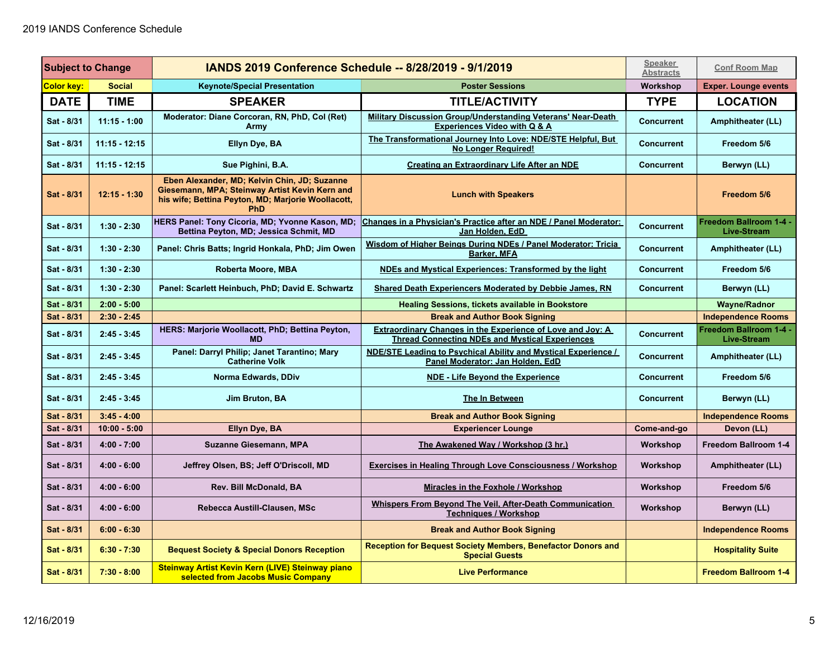| <b>Subject to Change</b> |                 | <b>IANDS 2019 Conference Schedule -- 8/28/2019 - 9/1/2019</b>                                                                                                      |                                                                                                                             | <b>Speaker</b><br><b>Abstracts</b> | <b>Conf Room Map</b>                         |
|--------------------------|-----------------|--------------------------------------------------------------------------------------------------------------------------------------------------------------------|-----------------------------------------------------------------------------------------------------------------------------|------------------------------------|----------------------------------------------|
| <b>Color key:</b>        | <b>Social</b>   | <b>Keynote/Special Presentation</b>                                                                                                                                | <b>Poster Sessions</b>                                                                                                      | Workshop                           | <b>Exper. Lounge events</b>                  |
| <b>DATE</b>              | <b>TIME</b>     | <b>SPEAKER</b>                                                                                                                                                     | <b>TITLE/ACTIVITY</b>                                                                                                       | <b>TYPE</b>                        | <b>LOCATION</b>                              |
| Sat - 8/31               | $11:15 - 1:00$  | Moderator: Diane Corcoran, RN, PhD, Col (Ret)<br>Army                                                                                                              | <b>Military Discussion Group/Understanding Veterans' Near-Death</b><br><b>Experiences Video with Q &amp; A</b>              | <b>Concurrent</b>                  | Amphitheater (LL)                            |
| Sat - 8/31               | $11:15 - 12:15$ | Ellyn Dye, BA                                                                                                                                                      | The Transformational Journey Into Love: NDE/STE Helpful, But<br><b>No Longer Required!</b>                                  | <b>Concurrent</b>                  | Freedom 5/6                                  |
| Sat - 8/31               | $11:15 - 12:15$ | Sue Pighini, B.A.                                                                                                                                                  | Creating an Extraordinary Life After an NDE                                                                                 | <b>Concurrent</b>                  | Berwyn (LL)                                  |
| Sat - 8/31               | $12:15 - 1:30$  | Eben Alexander, MD; Kelvin Chin, JD; Suzanne<br>Giesemann, MPA; Steinway Artist Kevin Kern and<br>his wife; Bettina Peyton, MD; Marjorie Woollacott,<br><b>PhD</b> | <b>Lunch with Speakers</b>                                                                                                  |                                    | Freedom 5/6                                  |
| Sat - 8/31               | $1:30 - 2:30$   | HERS Panel: Tony Cicoria, MD; Yvonne Kason, MD;<br>Bettina Peyton, MD; Jessica Schmit, MD                                                                          | Changes in a Physician's Practice after an NDE / Panel Moderator:<br>Jan Holden, EdD                                        | <b>Concurrent</b>                  | Freedom Ballroom 1-4 -<br><b>Live-Stream</b> |
| Sat - 8/31               | $1:30 - 2:30$   | Panel: Chris Batts; Ingrid Honkala, PhD; Jim Owen                                                                                                                  | Wisdom of Higher Beings During NDEs / Panel Moderator: Tricia<br><b>Barker, MFA</b>                                         | <b>Concurrent</b>                  | Amphitheater (LL)                            |
| Sat - 8/31               | $1:30 - 2:30$   | Roberta Moore, MBA                                                                                                                                                 | NDEs and Mystical Experiences: Transformed by the light                                                                     | <b>Concurrent</b>                  | Freedom 5/6                                  |
| Sat - 8/31               | $1:30 - 2:30$   | Panel: Scarlett Heinbuch, PhD; David E. Schwartz                                                                                                                   | <b>Shared Death Experiencers Moderated by Debbie James, RN</b>                                                              | <b>Concurrent</b>                  | Berwyn (LL)                                  |
| Sat - 8/31               | $2:00 - 5:00$   |                                                                                                                                                                    | <b>Healing Sessions, tickets available in Bookstore</b>                                                                     |                                    | Wayne/Radnor                                 |
| Sat - 8/31               | $2:30 - 2:45$   |                                                                                                                                                                    | <b>Break and Author Book Signing</b>                                                                                        |                                    | <b>Independence Rooms</b>                    |
| Sat - 8/31               | $2:45 - 3:45$   | HERS: Marjorie Woollacott, PhD; Bettina Peyton,<br><b>MD</b>                                                                                                       | <b>Extraordinary Changes in the Experience of Love and Joy: A</b><br><b>Thread Connecting NDEs and Mystical Experiences</b> | <b>Concurrent</b>                  | Freedom Ballroom 1-4 -<br><b>Live-Stream</b> |
| Sat - 8/31               | $2:45 - 3:45$   | Panel: Darryl Philip; Janet Tarantino; Mary<br><b>Catherine Volk</b>                                                                                               | NDE/STE Leading to Psychical Ability and Mystical Experience /<br>Panel Moderator: Jan Holden, EdD                          | <b>Concurrent</b>                  | Amphitheater (LL)                            |
| Sat - 8/31               | $2:45 - 3:45$   | Norma Edwards, DDiv                                                                                                                                                | <b>NDE - Life Beyond the Experience</b>                                                                                     | <b>Concurrent</b>                  | Freedom 5/6                                  |
| Sat - 8/31               | $2:45 - 3:45$   | Jim Bruton, BA                                                                                                                                                     | The In Between                                                                                                              | <b>Concurrent</b>                  | Berwyn (LL)                                  |
| Sat - 8/31               | $3:45 - 4:00$   |                                                                                                                                                                    | <b>Break and Author Book Signing</b>                                                                                        |                                    | <b>Independence Rooms</b>                    |
| Sat - 8/31               | $10:00 - 5:00$  | Ellyn Dye, BA                                                                                                                                                      | <b>Experiencer Lounge</b>                                                                                                   | Come-and-go                        | Devon (LL)                                   |
| Sat - 8/31               | $4:00 - 7:00$   | <b>Suzanne Giesemann, MPA</b>                                                                                                                                      | The Awakened Way / Workshop (3 hr.)                                                                                         | Workshop                           | <b>Freedom Ballroom 1-4</b>                  |
| Sat - 8/31               | $4:00 - 6:00$   | Jeffrey Olsen, BS; Jeff O'Driscoll, MD                                                                                                                             | <b>Exercises in Healing Through Love Consciousness / Workshop</b>                                                           | Workshop                           | Amphitheater (LL)                            |
| Sat - 8/31               | $4:00 - 6:00$   | Rev. Bill McDonald, BA                                                                                                                                             | <b>Miracles in the Foxhole / Workshop</b>                                                                                   | Workshop                           | Freedom 5/6                                  |
| Sat - 8/31               | $4:00 - 6:00$   | Rebecca Austill-Clausen, MSc                                                                                                                                       | Whispers From Beyond The Veil, After-Death Communication<br><b>Techniques / Workshop</b>                                    | Workshop                           | Berwyn (LL)                                  |
| Sat - 8/31               | $6:00 - 6:30$   |                                                                                                                                                                    | <b>Break and Author Book Signing</b>                                                                                        |                                    | <b>Independence Rooms</b>                    |
| Sat - 8/31               | $6:30 - 7:30$   | <b>Bequest Society &amp; Special Donors Reception</b>                                                                                                              | <b>Reception for Bequest Society Members, Benefactor Donors and</b><br><b>Special Guests</b>                                |                                    | <b>Hospitality Suite</b>                     |
| Sat - 8/31               | $7:30 - 8:00$   | Steinway Artist Kevin Kern (LIVE) Steinway piano<br>selected from Jacobs Music Company                                                                             | <b>Live Performance</b>                                                                                                     |                                    | <b>Freedom Ballroom 1-4</b>                  |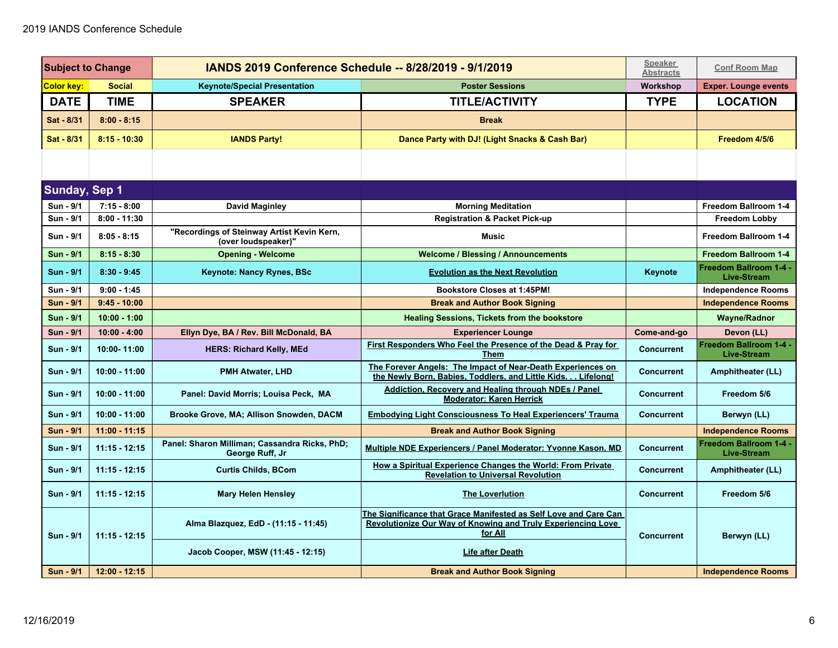| <b>Subject to Change</b> |                 | <b>IANDS 2019 Conference Schedule -- 8/28/2019 - 9/1/2019</b>     |                                                                                                                                             | <b>Speaker</b><br><b>Abstracts</b> | <b>Conf Room Map</b>                                |
|--------------------------|-----------------|-------------------------------------------------------------------|---------------------------------------------------------------------------------------------------------------------------------------------|------------------------------------|-----------------------------------------------------|
| Color key:               | <b>Social</b>   | <b>Keynote/Special Presentation</b>                               | <b>Poster Sessions</b>                                                                                                                      | Workshop                           | <b>Exper. Lounge events</b>                         |
| <b>DATE</b>              | <b>TIME</b>     | <b>SPEAKER</b>                                                    | <b>TITLE/ACTIVITY</b>                                                                                                                       | <b>TYPE</b>                        | <b>LOCATION</b>                                     |
| Sat - 8/31               | $8:00 - 8:15$   |                                                                   | <b>Break</b>                                                                                                                                |                                    |                                                     |
| Sat - 8/31               | $8:15 - 10:30$  | <b>IANDS Party!</b>                                               | Dance Party with DJ! (Light Snacks & Cash Bar)                                                                                              |                                    | Freedom 4/5/6                                       |
|                          |                 |                                                                   |                                                                                                                                             |                                    |                                                     |
| <b>Sunday, Sep 1</b>     |                 |                                                                   |                                                                                                                                             |                                    |                                                     |
| Sun - 9/1                | $7:15 - 8:00$   | David Maginley                                                    | <b>Morning Meditation</b>                                                                                                                   |                                    | Freedom Ballroom 1-4                                |
| Sun - 9/1                | $8:00 - 11:30$  |                                                                   | <b>Registration &amp; Packet Pick-up</b>                                                                                                    |                                    | <b>Freedom Lobby</b>                                |
| Sun - 9/1                | $8:05 - 8:15$   | "Recordings of Steinway Artist Kevin Kern,<br>(over loudspeaker)" | <b>Music</b>                                                                                                                                |                                    | Freedom Ballroom 1-4                                |
| <b>Sun - 9/1</b>         | $8:15 - 8:30$   | <b>Opening - Welcome</b>                                          | <b>Welcome / Blessing / Announcements</b>                                                                                                   |                                    | <b>Freedom Ballroom 1-4</b>                         |
| Sun - 9/1                | $8:30 - 9:45$   | Keynote: Nancy Rynes, BSc                                         | <b>Evolution as the Next Revolution</b>                                                                                                     | Keynote                            | <b>Freedom Ballroom 1-4 -</b><br><b>Live-Stream</b> |
| Sun - 9/1                | $9:00 - 1:45$   |                                                                   | Bookstore Closes at 1:45PM!                                                                                                                 |                                    | <b>Independence Rooms</b>                           |
| <b>Sun - 9/1</b>         | $9:45 - 10:00$  |                                                                   | <b>Break and Author Book Signing</b>                                                                                                        |                                    | <b>Independence Rooms</b>                           |
| <b>Sun - 9/1</b>         | $10:00 - 1:00$  |                                                                   | <b>Healing Sessions, Tickets from the bookstore</b>                                                                                         |                                    | <b>Wayne/Radnor</b>                                 |
| Sun - 9/1                | $10:00 - 4:00$  | Ellyn Dye, BA / Rev. Bill McDonald, BA                            | <b>Experiencer Lounge</b>                                                                                                                   | Come-and-go                        | Devon (LL)                                          |
| <b>Sun - 9/1</b>         | 10:00-11:00     | <b>HERS: Richard Kelly, MEd</b>                                   | First Responders Who Feel the Presence of the Dead & Pray for<br>Them                                                                       | <b>Concurrent</b>                  | Freedom Ballroom 1-4 -<br><b>Live-Stream</b>        |
| <b>Sun - 9/1</b>         | $10:00 - 11:00$ | <b>PMH Atwater, LHD</b>                                           | The Forever Angels: The Impact of Near-Death Experiences on<br>the Newly Born, Babies, Toddlers, and Little Kids. Lifelong!                 | <b>Concurrent</b>                  | Amphitheater (LL)                                   |
| <b>Sun - 9/1</b>         | $10:00 - 11:00$ | Panel: David Morris; Louisa Peck, MA                              | Addiction, Recovery and Healing through NDEs / Panel<br><b>Moderator: Karen Herrick</b>                                                     | <b>Concurrent</b>                  | Freedom 5/6                                         |
| <b>Sun - 9/1</b>         | $10:00 - 11:00$ | Brooke Grove, MA; Allison Snowden, DACM                           | <b>Embodying Light Consciousness To Heal Experiencers' Trauma</b>                                                                           | <b>Concurrent</b>                  | Berwyn (LL)                                         |
| <b>Sun - 9/1</b>         | $11:00 - 11:15$ |                                                                   | <b>Break and Author Book Signing</b>                                                                                                        |                                    | <b>Independence Rooms</b>                           |
| Sun - 9/1                | $11:15 - 12:15$ | Panel: Sharon Milliman; Cassandra Ricks, PhD;<br>George Ruff, Jr  | Multiple NDE Experiencers / Panel Moderator: Yvonne Kason, MD                                                                               | <b>Concurrent</b>                  | Freedom Ballroom 1-4 -<br><b>Live-Stream</b>        |
| Sun - 9/1                | $11:15 - 12:15$ | <b>Curtis Childs, BCom</b>                                        | How a Spiritual Experience Changes the World: From Private<br><b>Revelation to Universal Revolution</b>                                     | <b>Concurrent</b>                  | Amphitheater (LL)                                   |
| Sun - 9/1                | $11:15 - 12:15$ | <b>Mary Helen Hensley</b>                                         | <b>The Loverlution</b>                                                                                                                      | <b>Concurrent</b>                  | Freedom 5/6                                         |
| <b>Sun - 9/1</b>         | $11:15 - 12:15$ | Alma Blazquez, EdD - (11:15 - 11:45)                              | The Significance that Grace Manifested as Self Love and Care Can<br>Revolutionize Our Way of Knowing and Truly Experiencing Love<br>for All | <b>Concurrent</b>                  | Berwyn (LL)                                         |
|                          |                 | Jacob Cooper, MSW (11:45 - 12:15)                                 | <b>Life after Death</b>                                                                                                                     |                                    |                                                     |
| <b>Sun - 9/1</b>         | $12:00 - 12:15$ |                                                                   | <b>Break and Author Book Signing</b>                                                                                                        |                                    | <b>Independence Rooms</b>                           |